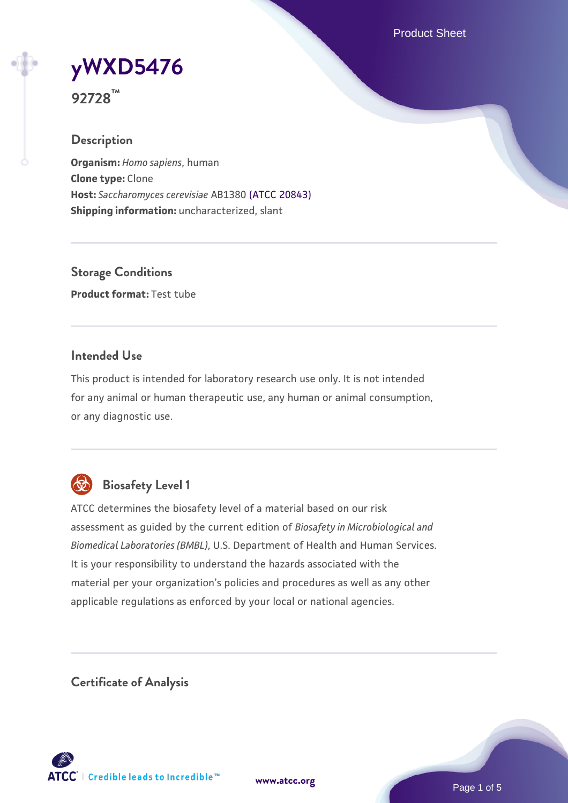Product Sheet

# **[yWXD5476](https://www.atcc.org/products/92728)**

**92728™**

# **Description**

**Organism:** *Homo sapiens*, human **Clone type:** Clone **Host:** *Saccharomyces cerevisiae* AB1380 [\(ATCC 20843\)](https://www.atcc.org/products/20843) **Shipping information:** uncharacterized, slant

**Storage Conditions Product format:** Test tube

## **Intended Use**

This product is intended for laboratory research use only. It is not intended for any animal or human therapeutic use, any human or animal consumption, or any diagnostic use.



# **Biosafety Level 1**

ATCC determines the biosafety level of a material based on our risk assessment as guided by the current edition of *Biosafety in Microbiological and Biomedical Laboratories (BMBL)*, U.S. Department of Health and Human Services. It is your responsibility to understand the hazards associated with the material per your organization's policies and procedures as well as any other applicable regulations as enforced by your local or national agencies.

**Certificate of Analysis**

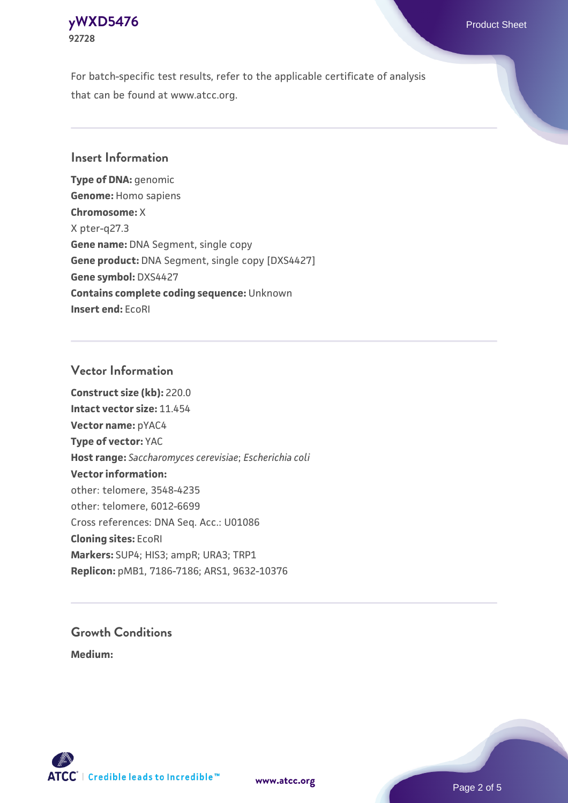#### **[yWXD5476](https://www.atcc.org/products/92728)** Product Sheet **92728**

For batch-specific test results, refer to the applicable certificate of analysis that can be found at www.atcc.org.

## **Insert Information**

**Type of DNA:** genomic **Genome:** Homo sapiens **Chromosome:** X X pter-q27.3 **Gene name:** DNA Segment, single copy **Gene product:** DNA Segment, single copy [DXS4427] **Gene symbol:** DXS4427 **Contains complete coding sequence:** Unknown **Insert end:** EcoRI

## **Vector Information**

**Construct size (kb):** 220.0 **Intact vector size:** 11.454 **Vector name:** pYAC4 **Type of vector:** YAC **Host range:** *Saccharomyces cerevisiae*; *Escherichia coli* **Vector information:** other: telomere, 3548-4235 other: telomere, 6012-6699 Cross references: DNA Seq. Acc.: U01086 **Cloning sites:** EcoRI **Markers:** SUP4; HIS3; ampR; URA3; TRP1 **Replicon:** pMB1, 7186-7186; ARS1, 9632-10376

# **Growth Conditions**

**Medium:** 



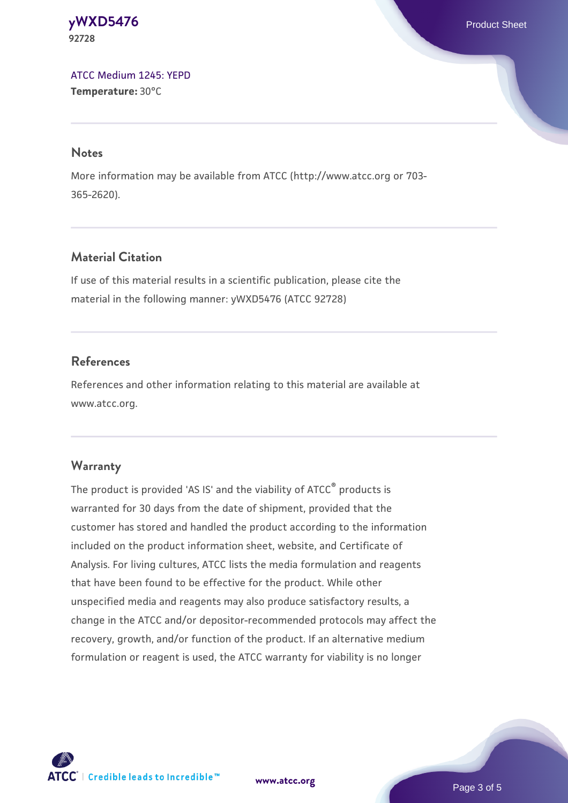#### **[yWXD5476](https://www.atcc.org/products/92728)** Product Sheet **92728**

[ATCC Medium 1245: YEPD](https://www.atcc.org/-/media/product-assets/documents/microbial-media-formulations/1/2/4/5/atcc-medium-1245.pdf?rev=705ca55d1b6f490a808a965d5c072196) **Temperature:** 30°C

#### **Notes**

More information may be available from ATCC (http://www.atcc.org or 703- 365-2620).

# **Material Citation**

If use of this material results in a scientific publication, please cite the material in the following manner: yWXD5476 (ATCC 92728)

# **References**

References and other information relating to this material are available at www.atcc.org.

# **Warranty**

The product is provided 'AS IS' and the viability of ATCC® products is warranted for 30 days from the date of shipment, provided that the customer has stored and handled the product according to the information included on the product information sheet, website, and Certificate of Analysis. For living cultures, ATCC lists the media formulation and reagents that have been found to be effective for the product. While other unspecified media and reagents may also produce satisfactory results, a change in the ATCC and/or depositor-recommended protocols may affect the recovery, growth, and/or function of the product. If an alternative medium formulation or reagent is used, the ATCC warranty for viability is no longer



**[www.atcc.org](http://www.atcc.org)**

Page 3 of 5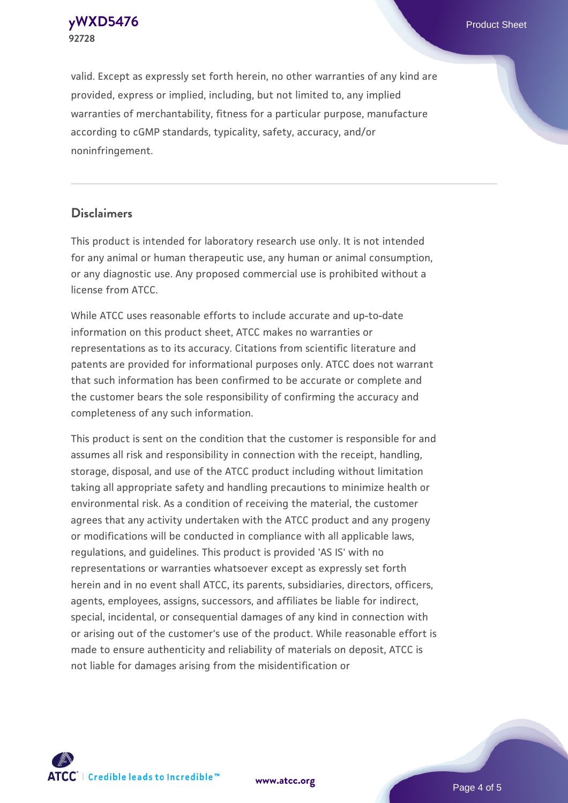**[yWXD5476](https://www.atcc.org/products/92728)** Product Sheet **92728**

valid. Except as expressly set forth herein, no other warranties of any kind are provided, express or implied, including, but not limited to, any implied warranties of merchantability, fitness for a particular purpose, manufacture according to cGMP standards, typicality, safety, accuracy, and/or noninfringement.

#### **Disclaimers**

This product is intended for laboratory research use only. It is not intended for any animal or human therapeutic use, any human or animal consumption, or any diagnostic use. Any proposed commercial use is prohibited without a license from ATCC.

While ATCC uses reasonable efforts to include accurate and up-to-date information on this product sheet, ATCC makes no warranties or representations as to its accuracy. Citations from scientific literature and patents are provided for informational purposes only. ATCC does not warrant that such information has been confirmed to be accurate or complete and the customer bears the sole responsibility of confirming the accuracy and completeness of any such information.

This product is sent on the condition that the customer is responsible for and assumes all risk and responsibility in connection with the receipt, handling, storage, disposal, and use of the ATCC product including without limitation taking all appropriate safety and handling precautions to minimize health or environmental risk. As a condition of receiving the material, the customer agrees that any activity undertaken with the ATCC product and any progeny or modifications will be conducted in compliance with all applicable laws, regulations, and guidelines. This product is provided 'AS IS' with no representations or warranties whatsoever except as expressly set forth herein and in no event shall ATCC, its parents, subsidiaries, directors, officers, agents, employees, assigns, successors, and affiliates be liable for indirect, special, incidental, or consequential damages of any kind in connection with or arising out of the customer's use of the product. While reasonable effort is made to ensure authenticity and reliability of materials on deposit, ATCC is not liable for damages arising from the misidentification or



**[www.atcc.org](http://www.atcc.org)**

Page 4 of 5